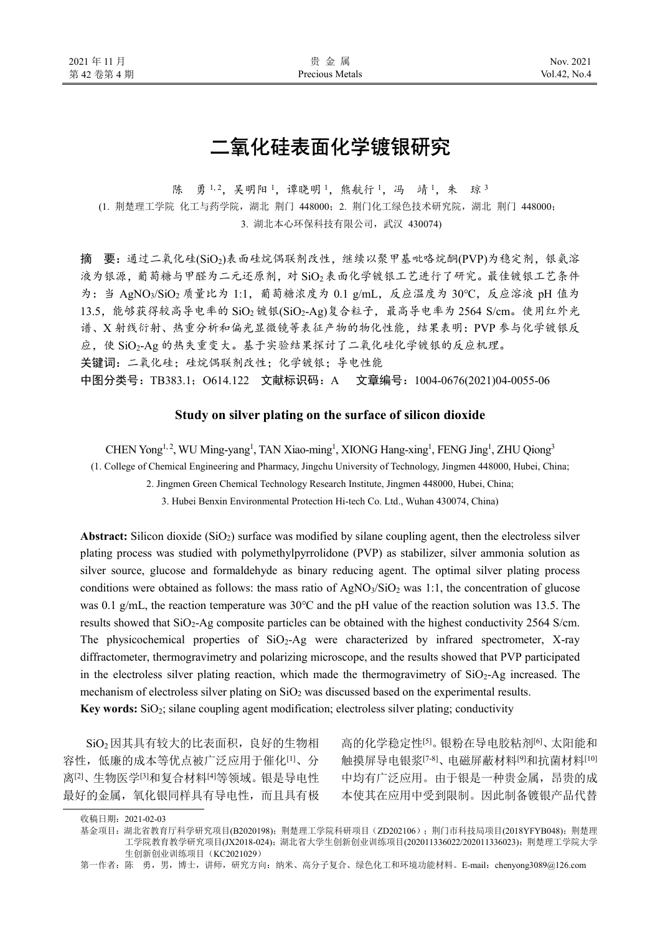# 二氧化硅表面化学镀银研究

陈 勇 1,2, 吴明阳 1, 谭晓明 1, 熊航行 1, 冯 靖 1, 朱 琼 3 (1. 荆楚理工学院 化工与药学院,湖北 荆门 448000;2. 荆门化工绿色技术研究院,湖北 荆门 448000; 3. 湖北本心环保科技有限公司,武汉 430074)

摘 要: 通过二氧化硅(SiO2)表面硅烷偶联剂改性,继续以聚甲基吡咯烷酮(PVP)为稳定剂,银氨溶 液为银源,葡萄糖与甲醛为二元还原剂,对 SiO2表面化学镀银工艺进行了研究。最佳镀银工艺条件 为: 当 AgNO<sub>3</sub>/SiO<sub>2</sub> 质量比为 1:1, 葡萄糖浓度为 0.1 g/mL, 反应温度为 30℃, 反应溶液 pH 值为  $13.5$ , 能够获得较高导电率的 SiO<sub>2</sub> 镀银(SiO<sub>2</sub>-Ag)复合粒子, 最高导电率为 2564 S/cm。使用红外光 谱、X 射线衍射、热重分析和偏光显微镜等表征产物的物化性能,结果表明:PVP 参与化学镀银反 应,使 SiO2-Ag 的热失重变大。基于实验结果探讨了二氧化硅化学镀银的反应机理。 关键词: 二氧化硅;硅烷偶联剂改性;化学镀银;导电性能 中图分类号:TB383.1;O614.122 文献标识码:A 文章编号:1004-0676(2021)04-0055-06

# **Study on silver plating on the surface of silicon dioxide**

CHEN Yong<sup>1, 2</sup>, WU Ming-yang<sup>1</sup>, TAN Xiao-ming<sup>1</sup>, XIONG Hang-xing<sup>1</sup>, FENG Jing<sup>1</sup>, ZHU Qiong<sup>3</sup>

(1. College of Chemical Engineering and Pharmacy, Jingchu University of Technology, Jingmen 448000, Hubei, China;

2. Jingmen Green Chemical Technology Research Institute, Jingmen 448000, Hubei, China;

3. Hubei Benxin Environmental Protection Hi-tech Co. Ltd., Wuhan 430074, China)

Abstract: Silicon dioxide (SiO<sub>2</sub>) surface was modified by silane coupling agent, then the electroless silver plating process was studied with polymethylpyrrolidone (PVP) as stabilizer, silver ammonia solution as silver source, glucose and formaldehyde as binary reducing agent. The optimal silver plating process conditions were obtained as follows: the mass ratio of  $AgNO<sub>3</sub>/SiO<sub>2</sub>$  was 1:1, the concentration of glucose was 0.1 g/mL, the reaction temperature was 30℃ and the pH value of the reaction solution was 13.5. The results showed that SiO2-Ag composite particles can be obtained with the highest conductivity 2564 S/cm. The physicochemical properties of  $SiO<sub>2</sub>$ -Ag were characterized by infrared spectrometer, X-ray diffractometer, thermogravimetry and polarizing microscope, and the results showed that PVP participated in the electroless silver plating reaction, which made the thermogravimetry of  $SiO<sub>2</sub>$ -Ag increased. The mechanism of electroless silver plating on SiO<sub>2</sub> was discussed based on the experimental results.

**Key words:** SiO2; silane coupling agent modification; electroless silver plating; conductivity

SiO<sub>2</sub>因其具有较大的比表面积,良好的生物相 容性,低廉的成本等优点被广泛应用于催化[1]、分 离[2]、生物医学[3]和复合材料[4]等领域。银是导电性 最好的金属,氧化银同样具有导电性,而且具有极

高的化学稳定性[5]。银粉在导电胶粘剂[6]、太阳能和 触摸屏导电银浆[7-8]、电磁屏蔽材料[9]和抗菌材料[10] 中均有广泛应用。由于银是一种贵金属,昂贵的成 本使其在应用中受到限制。因此制备镀银产品代替

收稿日期:2021-02-03

基金项目: 湖北省教育厅科学研究项目(B2020198); 荆楚理工学院科研项目(ZD202106); 荆门市科技局项目(2018YFYB048); 荆楚理 工学院教育教学研究项目(JX2018-024);湖北省大学生创新创业训练项目(202011336022/202011336023);荆楚理工学院大学 生创新创业训练项目(KC2021029)

第一作者: 陈 勇, 男, 博士, 讲师, 研究方向: 纳米、高分子复合、绿色化工和环境功能材料。E-mail: chenyong3089@126.com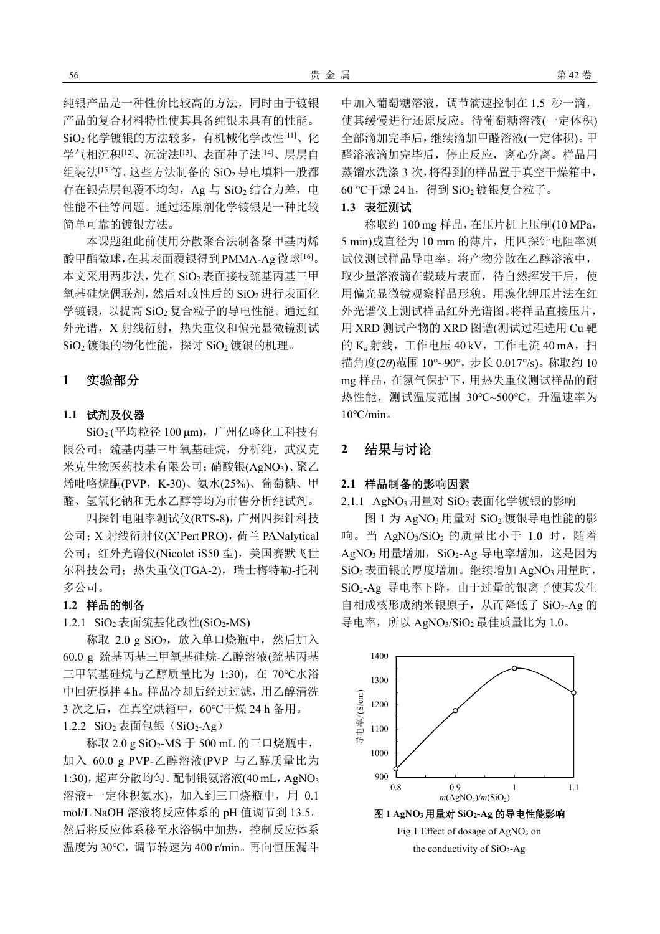纯银产品是一种性价比较高的方法,同时由于镀银 产品的复合材料特性使其具备纯银未具有的性能。 SiO2化学镀银的方法较多,有机械化学改性[11]、化 学气相沉积[12]、沉淀法[13]、表面种子法[14]、层层自 组装法<sup>[15]</sup>等。这些方法制备的 SiO<sub>2</sub> 导电填料一般都 存在银壳层包覆不均匀, Ag 与 SiO<sub>2</sub> 结合力差, 电 性能不佳等问题。通过还原剂化学镀银是一种比较 简单可靠的镀银方法。

本课题组此前使用分散聚合法制备聚甲基丙烯 酸甲酯微球,在其表面覆银得到PMMA-Ag微球[16]。 本文采用两步法,先在 SiO<sub>2</sub> 表面接枝巯基丙基三甲 氧基硅烷偶联剂,然后对改性后的 SiO<sub>2</sub> 进行表面化 学镀银,以提高 SiO<sub>2</sub>复合粒子的导电性能。通过红 外光谱, X 射线衍射, 热失重仪和偏光显微镜测试 SiO<sub>2</sub> 镀银的物化性能,探讨 SiO<sub>2</sub> 镀银的机理。

# **1** 实验部分

# **1.1** 试剂及仪器

SiO<sub>2</sub> (平均粒径 100 μm), 广州亿峰化工科技有 限公司; 巯基丙基三甲氧基硅烷, 分析纯, 武汉克 米克生物医药技术有限公司;硝酸银(AgNO<sub>3</sub>)、聚乙 烯吡咯烷酮(PVP,K-30)、氨水(25%)、葡萄糖、甲 醛、氢氧化钠和无水乙醇等均为市售分析纯试剂。

四探针电阻率测试仪(RTS-8),广州四探针科技 公司;X 射线衍射仪(X'Pert PRO),荷兰 PANalytical 公司;红外光谱仪(Nicolet iS50 型), 美国赛默飞世 尔科技公司;热失重仪(TGA-2),瑞士梅特勒-托利 多公司。

#### **1.2** 样品的制备

1.2.1 SiO<sub>2</sub>表面巯基化改性(SiO<sub>2</sub>-MS)

称取  $2.0 \text{ g SiO}_2$ ,放入单口烧瓶中,然后加入 60.0 g 巯基丙基三甲氧基硅烷-乙醇溶液(巯基丙基 三甲氧基硅烷与乙醇质量比为 1:30), 在 70℃水浴 中回流搅拌 4 h。样品冷却后经过过滤,用乙醇清洗 3 次之后, 在真空烘箱中, 60℃干燥 24 h 备用。 1.2.2 SiO<sub>2</sub>表面包银(SiO<sub>2</sub>-Ag)

称取 2.0 g SiO2-MS 于 500 mL 的三口烧瓶中, 加入 60.0 g PVP-乙醇溶液(PVP 与乙醇质量比为 1:30), 超声分散均匀。配制银氨溶液(40 mL, AgNO<sub>3</sub> 溶液+一定体积氨水),加入到三口烧瓶中,用 0.1 mol/L NaOH 溶液将反应体系的 pH 值调节到 13.5。 然后将反应体系移至水浴锅中加热,控制反应体系 温度为 30℃,调节转速为 400 r/min。再向恒压漏斗

中加入葡萄糖溶液,调节滴速控制在 1.5 秒一滴, 使其缓慢进行还原反应。待葡萄糖溶液(一定体积) 全部滴加完毕后,继续滴加甲醛溶液(一定体积)。甲 醛溶液滴加完毕后,停止反应,离心分离。样品用 蒸馏水洗涤 3 次,将得到的样品置于真空干燥箱中,  $60$  ℃干燥 24 h, 得到 SiO<sub>2</sub> 镀银复合粒子。

#### **1.3** 表征测试

称取约 100 mg 样品,在压片机上压制(10 MPa, 5 min)成直径为 10 mm 的薄片, 用四探针电阻率测 试仪测试样品导电率。将产物分散在乙醇溶液中, 取少量溶液滴在载玻片表面,待自然挥发干后,使 用偏光显微镜观察样品形貌。用溴化钾压片法在红 外光谱仪上测试样品红外光谱图。将样品直接压片, 用 XRD 测试产物的 XRD 图谱(测试过程选用 Cu 靶 的 K<sub>a</sub> 射线, 工作电压 40 kV, 工作电流 40 mA, 扫 描角度(2*θ*)范围 10°~90°,步长 0.017°/s)。称取约 10 mg 样品,在氮气保护下,用热失重仪测试样品的耐 热性能,测试温度范围 30℃~500℃,升温速率为  $10^{\circ}$ C/min。

# **2** 结果与讨论

### **2.1** 样品制备的影响因素

2.1.1 AgNO<sub>3</sub> 用量对 SiO<sub>2</sub> 表面化学镀银的影响

图 1 为 AgNO<sub>3</sub> 用量对 SiO<sub>2</sub> 镀银导电性能的影 响。当 AgNO<sub>3</sub>/SiO<sub>2</sub> 的质量比小于 1.0 时, 随着 AgNO3 用量增加, SiO2-Ag 导电率增加, 这是因为 SiO<sub>2</sub>表面银的厚度增加。继续增加 AgNO<sub>3</sub>用量时, SiO2-Ag 导电率下降,由于过量的银离子使其发生 自相成核形成纳米银原子,从而降低了 SiO2-Ag 的 导电率,所以 AgNO<sub>3</sub>/SiO<sub>2</sub> 最佳质量比为 1.0。

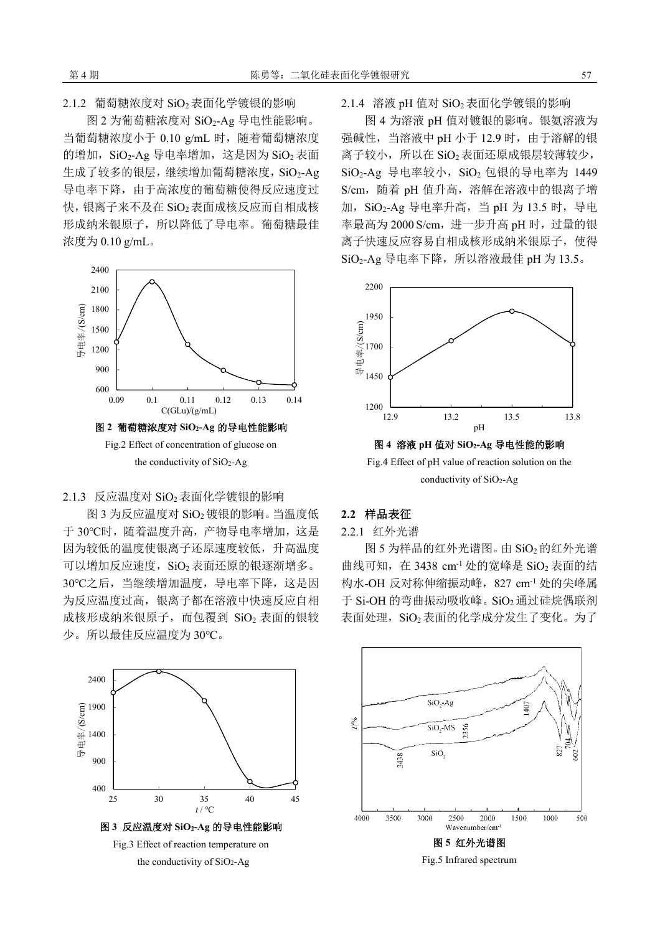2.1.2 葡萄糖浓度对 SiO<sub>2</sub>表面化学镀银的影响

图 2 为葡萄糖浓度对 SiO2-Ag 导电性能影响。 当葡萄糖浓度小于 0.10 g/mL 时,随着葡萄糖浓度 的增加,  $\text{SiO}_2$ -Ag 导电率增加, 这是因为  $\text{SiO}_2$ 表面 生成了较多的银层,继续增加葡萄糖浓度, SiO2-Ag 导电率下降,由于高浓度的葡萄糖使得反应速度过 快,银离子来不及在 SiO<sub>2</sub>表面成核反应而自相成核 形成纳米银原子,所以降低了导电率。葡萄糖最佳 浓度为 0.10 g/mL。



2.1.3 反应温度对 SiO<sub>2</sub> 表面化学镀银的影响

图 3 为反应温度对 SiO<sub>2</sub> 镀银的影响。当温度低 于 30℃时,随着温度升高,产物导电率增加,这是 因为较低的温度使银离子还原速度较低,升高温度 可以增加反应速度, SiO<sub>2</sub>表面还原的银逐渐增多。 30℃之后,当继续增加温度,导电率下降,这是因 为反应温度过高,银离子都在溶液中快速反应自相 成核形成纳米银原子,而包覆到 SiO2 表面的银较 少。所以最佳反应温度为 30℃。



2.1.4 溶液 pH 值对  $SiO<sub>2</sub> 表面化学镀银的影响$ 

图 4 为溶液 pH 值对镀银的影响。银氨溶液为 强碱性, 当溶液中 pH 小于 12.9 时, 由于溶解的银 离子较小,所以在 SiO<sub>2</sub>表面还原成银层较薄较少,  $SiO<sub>2</sub>$ -Ag 导电率较小,  $SiO<sub>2</sub>$  包银的导电率为 1449 S/cm,随着 pH 值升高,溶解在溶液中的银离子增 加, SiO<sub>2</sub>-Ag 导电率升高, 当 pH 为 13.5 时, 导电 率最高为 2000 S/cm, 进一步升高 pH 时, 过量的银 离子快速反应容易自相成核形成纳米银原子,使得 SiO<sub>2</sub>-Ag 导电率下降, 所以溶液最佳 pH 为 13.5。



Fig.4 Effect of pH value of reaction solution on the conductivity of SiO2-Ag

#### **2.2** 样品表征

2.2.1 红外光谱

图 5 为样品的红外光谱图。由 SiO2 的红外光谱 曲线可知, 在 3438 cm<sup>-1</sup> 处的宽峰是 SiO<sub>2</sub> 表面的结 构水-OH 反对称伸缩振动峰, 827 cm<sup>-1</sup> 处的尖峰属 于 Si-OH 的弯曲振动吸收峰。SiO2 通过硅烷偶联剂 表面处理, SiO<sub>2</sub> 表面的化学成分发生了变化。为了

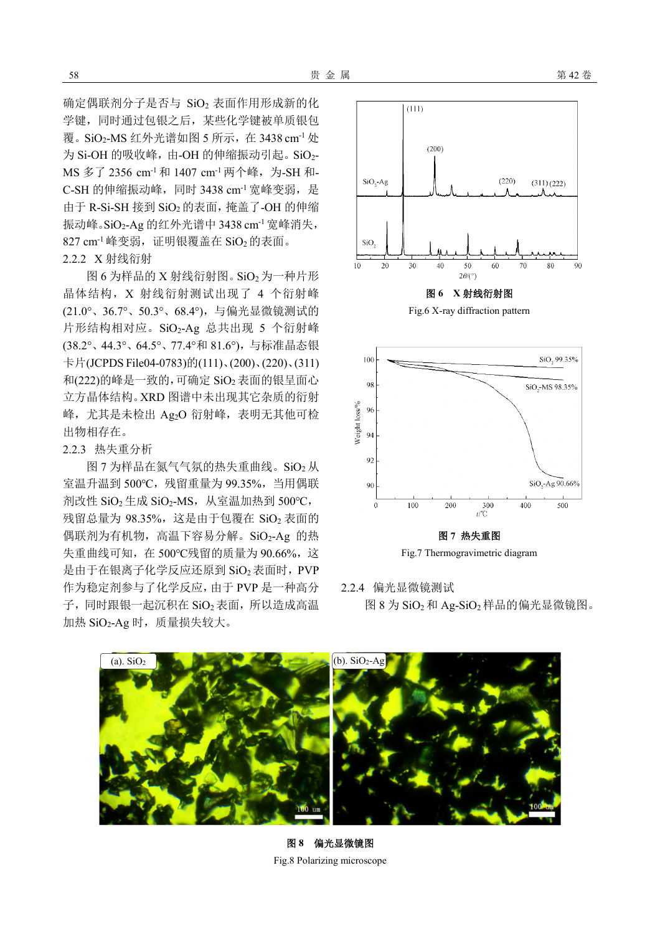确定偶联剂分子是否与 SiO2 表面作用形成新的化 学键,同时通过包银之后,某些化学键被单质银包 覆。SiO<sub>2</sub>-MS 红外光谱如图 5 所示, 在 3438 cm<sup>-1</sup> 处 为 Si-OH 的吸收峰,由-OH 的伸缩振动引起。SiO<sub>2</sub>-MS 多了 2356 cm<sup>-1</sup> 和 1407 cm<sup>-1</sup> 两个峰, 为-SH 和-C-SH 的伸缩振动峰,同时 3438 cm<sup>-1</sup> 宽峰变弱, 是 由于 R-Si-SH 接到 SiO<sub>2</sub> 的表面, 掩盖了-OH 的伸缩 振动峰。SiO2-Ag 的红外光谱中 3438 cm<sup>-1</sup> 宽峰消失,  $827 \text{ cm}^{-1}$ 峰变弱,证明银覆盖在 SiO<sub>2</sub>的表面。 2.2.2 X 射线衍射

图 6 为样品的 X 射线衍射图。 SiO<sub>2</sub> 为一种片形 晶体结构,X 射线衍射测试出现了 4 个衍射峰 (21.0°、36.7°、50.3°、68.4°),与偏光显微镜测试的 片形结构相对应。SiO2-Ag 总共出现 5 个衍射峰 (38.2°、44.3°、64.5°、77.4°和 81.6°),与标准晶态银 卡片(JCPDS File04-0783)的(111)、(200)、(220)、(311) 和(222)的峰是一致的,可确定 SiO<sub>2</sub> 表面的银呈面心 立方晶体结构。XRD 图谱中未出现其它杂质的衍射 峰, 尤其是未检出 Ag2O 衍射峰, 表明无其他可检 出物相存在。

### 2.2.3 热失重分析

图 7 为样品在氮气气氛的热失重曲线。SiO<sub>2</sub> 从 室温升温到 500℃, 残留重量为 99.35%, 当用偶联 剂改性 SiO<sub>2</sub> 生成 SiO<sub>2</sub>-MS, 从室温加热到 500℃, 残留总量为 98.35%, 这是由于包覆在 SiO<sub>2</sub> 表面的 偶联剂为有机物,高温下容易分解。SiO2-Ag 的热 失重曲线可知,在 500℃残留的质量为 90.66%,这 是由于在银离子化学反应还原到 SiO2 表面时, PVP 作为稳定剂参与了化学反应,由于 PVP 是一种高分 子,同时跟银一起沉积在 SiO<sub>2</sub> 表面, 所以造成高温 加热  $SiO_2$ -Ag 时, 质量损失较大。





2.2.4 偏光显微镜测试 图 8 为 SiO<sub>2</sub> 和 Ag-SiO<sub>2</sub> 样品的偏光显微镜图。



图 **8** 偏光显微镜图 Fig.8 Polarizing microscope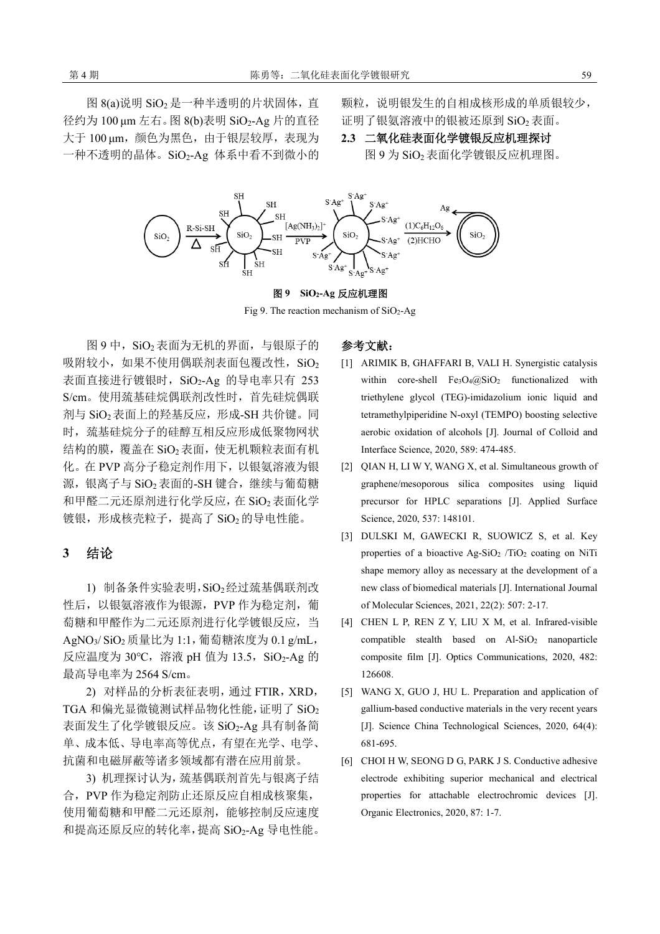图 8(a)说明 SiO<sub>2</sub> 是一种半透明的片状固体, 直 径约为 100 μm 左右。图 8(b)表明 SiO2-Ag 片的直径 大于 100 μm, 颜色为黑色, 由于银层较厚, 表现为 一种不透明的晶体。SiO2-Ag 体系中看不到微小的 颗粒,说明银发生的自相成核形成的单质银较少, 证明了银氨溶液中的银被还原到 SiO2 表面。

**2.3** 二氧化硅表面化学镀银反应机理探讨 图 9 为 SiO<sup>2</sup> 表面化学镀银反应机理图。



#### 图 **9 SiO2-Ag** 反应机理图

Fig 9. The reaction mechanism of  $SiO<sub>2</sub>$ -Ag

图 9 中, SiO<sub>2</sub> 表面为无机的界面, 与银原子的 吸附较小,如果不使用偶联剂表面包覆改性, SiO2 表面直接进行镀银时, SiO2-Ag 的导电率只有 253 S/cm。使用巯基硅烷偶联剂改性时,首先硅烷偶联 剂与 SiO<sub>2</sub> 表面上的羟基反应,形成-SH 共价键。同 时, 巯基硅烷分子的硅醇互相反应形成低聚物网状 结构的膜,覆盖在 SiO<sup>2</sup> 表面,使无机颗粒表面有机 化。在 PVP 高分子稳定剂作用下,以银氨溶液为银 源,银离子与 SiO<sub>2</sub>表面的-SH键合,继续与葡萄糖 和甲醛二元还原剂进行化学反应, 在 SiO<sub>2</sub>表面化学 镀银,形成核壳粒子,提高了 SiO2的导电性能。

# **3** 结论

1) 制备条件实验表明,SiO2经过巯基偶联剂改 性后, 以银氨溶液作为银源, PVP 作为稳定剂, 葡 萄糖和甲醛作为二元还原剂进行化学镀银反应,当 AgNO<sub>3</sub>/ SiO<sub>2</sub> 质量比为 1:1, 葡萄糖浓度为 0.1 g/mL, 反应温度为 30℃, 溶液 pH 值为 13.5, SiO2-Ag 的 最高导电率为 2564 S/cm。

2) 对样品的分析表征表明,通过 FTIR,XRD, TGA 和偏光显微镜测试样品物化性能,证明了 SiO<sup>2</sup> 表面发生了化学镀银反应。该 SiO2-Ag 具有制备简 单、成本低、导电率高等优点,有望在光学、电学、 抗菌和电磁屏蔽等诸多领域都有潜在应用前景。

3) 机理探讨认为,巯基偶联剂首先与银离子结 合,PVP 作为稳定剂防止还原反应自相成核聚集, 使用葡萄糖和甲醛二元还原剂,能够控制反应速度 和提高还原反应的转化率,提高 SiO2-Ag 导电性能。

# 参考文献:

- [1] ARIMIK B, GHAFFARI B, VALI H. Synergistic catalysis within core-shell Fe3O4@SiO2 functionalized with triethylene glycol (TEG)-imidazolium ionic liquid and tetramethylpiperidine N-oxyl (TEMPO) boosting selective aerobic oxidation of alcohols [J]. Journal of Colloid and Interface Science, 2020, 589: 474-485.
- [2] QIAN H, LI W Y, WANG X, et al. Simultaneous growth of graphene/mesoporous silica composites using liquid precursor for HPLC separations [J]. Applied Surface Science, 2020, 537: 148101.
- [3] DULSKI M, GAWECKI R, SUOWICZ S, et al. Key properties of a bioactive Ag-SiO<sub>2</sub> /TiO<sub>2</sub> coating on NiTi shape memory alloy as necessary at the development of a new class of biomedical materials [J]. International Journal of Molecular Sciences, 2021, 22(2): 507: 2-17.
- [4] CHEN L P, REN Z Y, LIU X M, et al. Infrared-visible compatible stealth based on  $AI-SiO<sub>2</sub>$  nanoparticle composite film [J]. Optics Communications, 2020, 482: 126608.
- [5] WANG X, GUO J, HU L. Preparation and application of gallium-based conductive materials in the very recent years [J]. Science China Technological Sciences, 2020, 64(4): 681-695.
- [6] CHOI H W, SEONG D G, PARK J S. Conductive adhesive electrode exhibiting superior mechanical and electrical properties for attachable electrochromic devices [J]. Organic Electronics, 2020, 87: 1-7.